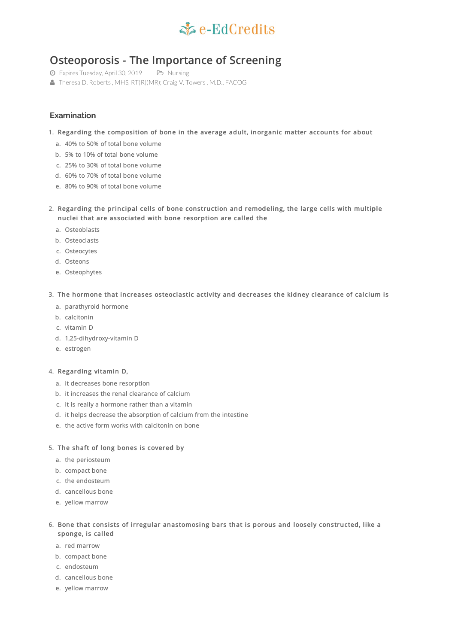

# Osteoporosis - The Importance of Screening

- Expires Tuesday, April 30, 2019 Nursing
- Theresa D. Roberts, MHS, RT(R)(MR); Craig V. Towers, M.D., FACOG

# **Examination**

- 1. Regarding the composition of bone in the average adult, inorganic matter accounts for about
	- a. 40% to 50% of total bone volume
	- b. 5% to 10% of total bone volume
	- c. 25% to 30% of total bone volume
	- d. 60% to 70% of total bone volume
	- e. 80% to 90% of total bone volume

2. Regarding the principal cells of bone construction and remodeling, the large cells with multiple nuclei that are associated with bone resorption are called the

- a. Osteoblasts
- b. Osteoclasts
- c. Osteocytes
- d. Osteons
- e. Osteophytes

3. The hormone that increases osteoclastic activity and decreases the kidney clearance of calcium is

- a. parathyroid hormone
- b. calcitonin
- c. vitamin D
- d. 1,25-dihydroxy-vitamin D
- e. estrogen

#### 4. Regarding vitamin D,

- a. it decreases bone resorption
- b. it increases the renal clearance of calcium
- c. it is really a hormone rather than a vitamin
- d. it helps decrease the absorption of calcium from the intestine
- e. the active form works with calcitonin on bone

## 5. The shaft of long bones is covered by

- a. the periosteum
- b. compact bone
- c. the endosteum
- d. cancellous bone
- e. yellow marrow

### 6. Bone that consists of irregular anastomosing bars that is porous and loosely constructed, like a sponge, is called

- a. red marrow
- b. compact bone
- c. endosteum
- d. cancellous bone
- e. yellow marrow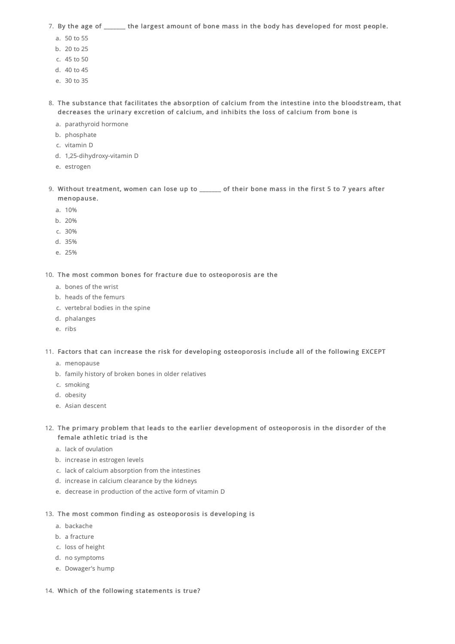7. By the age of \_\_\_\_\_\_\_ the largest amount of bone mass in the body has developed for most people.

- a. 50 to 55
- b. 20 to 25
- c. 45 to 50
- d. 40 to 45
- e. 30 to 35
- 8. The substance that facilitates the absorption of calcium from the intestine into the bloodstream, that decreases the urinary excretion of calcium, and inhibits the loss of calcium from bone is
	- a. parathyroid hormone
	- b. phosphate
	- c. vitamin D
	- d. 1,25-dihydroxy-vitamin D
	- e. estrogen
- 9. Without treatment, women can lose up to \_\_\_\_\_\_ of their bone mass in the first 5 to 7 years after menopause.
	- a. 10%
	- b. 20%
	- c. 30%
	- d. 35%
	- e. 25%

10. The most common bones for fracture due to osteoporosis are the

- a. bones of the wrist
- b. heads of the femurs
- c. vertebral bodies in the spine
- d. phalanges
- e. ribs

11. Factors that can increase the risk for developing osteoporosis include all of the following EXCEPT

- a. menopause
- b. family history of broken bones in older relatives
- c. smoking
- d. obesity
- e. Asian descent

12. The primary problem that leads to the earlier development of osteoporosis in the disorder of the female athletic triad is the

- a. lack of ovulation
- b. increase in estrogen levels
- c. lack of calcium absorption from the intestines
- d. increase in calcium clearance by the kidneys
- e. decrease in production of the active form of vitamin D
- 13. The most common finding as osteoporosis is developing is
	- a. backache
	- b. a fracture
	- c. loss of height
	- d. no symptoms
	- e. Dowager's hump
- 14. Which of the following statements is true?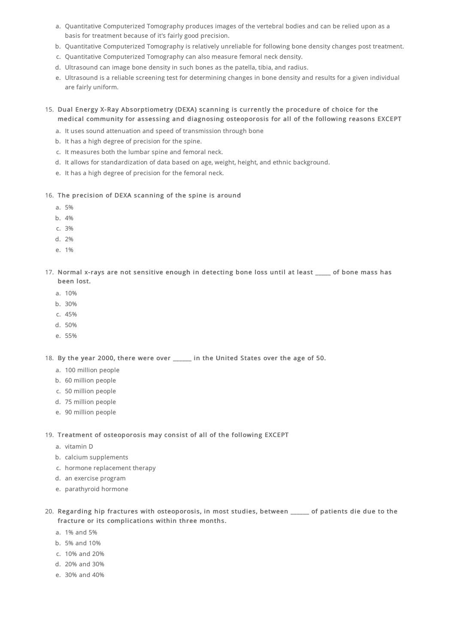- a. Quantitative Computerized Tomography produces images of the vertebral bodies and can be relied upon as a basis for treatment because of it's fairly good precision.
- b. Quantitative Computerized Tomography is relatively unreliable for following bone density changes post treatment.
- c. Quantitative Computerized Tomography can also measure femoral neck density.
- d. Ultrasound can image bone density in such bones as the patella, tibia, and radius.
- e. Ultrasound is a reliable screening test for determining changes in bone density and results for a given individual are fairly uniform.
- 15. Dual Energy X-Ray Absorptiometry (DEXA) scanning is currently the procedure of choice for the medical community for assessing and diagnosing osteoporosis for all of the following reasons EXCEPT
	- a. It uses sound attenuation and speed of transmission through bone
	- b. It has a high degree of precision for the spine.
	- c. It measures both the lumbar spine and femoral neck.
	- d. It allows for standardization of data based on age, weight, height, and ethnic background.
	- e. It has a high degree of precision for the femoral neck.

#### 16. The precision of DEXA scanning of the spine is around

- a. 5%
- b. 4%
- c. 3%
- d. 2%
- e. 1%
- 17. Normal x-rays are not sensitive enough in detecting bone loss until at least \_\_\_\_ of bone mass has been lost.
	- a. 10%
	- b. 30%
	- c. 45%
	- d. 50%
	- e. 55%

18. By the year 2000, there were over \_\_\_\_\_\_ in the United States over the age of 50.

- a. 100 million people
- b. 60 million people
- c. 50 million people
- d. 75 million people
- e. 90 million people

19. Treatment of osteoporosis may consist of all of the following EXCEPT

- a. vitamin D
- b. calcium supplements
- c. hormone replacement therapy
- d. an exercise program
- e. parathyroid hormone
- 20. Regarding hip fractures with osteoporosis, in most studies, between \_\_\_\_\_\_ of patients die due to the fracture or its complications within three months.
	- a. 1% and 5%
	- b. 5% and 10%
	- c. 10% and 20%
	- d. 20% and 30%
	- e. 30% and 40%